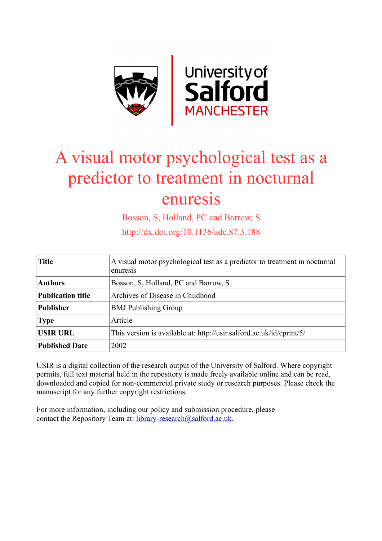

# A visual motor psychological test as a predictor to treatment in nocturnal enuresis

Bosson, S, Holland, PC and Barrow, S

http://dx.doi.org/10.1136/adc.87.3.188

| <b>Title</b>             | A visual motor psychological test as a predictor to treatment in nocturnal<br>enuresis |
|--------------------------|----------------------------------------------------------------------------------------|
| <b>Authors</b>           | Bosson, S. Holland, PC and Barrow, S.                                                  |
| <b>Publication title</b> | Archives of Disease in Childhood                                                       |
| <b>Publisher</b>         | <b>BMJ</b> Publishing Group                                                            |
| <b>Type</b>              | Article                                                                                |
| <b>USIR URL</b>          | This version is available at: http://usir.salford.ac.uk/id/eprint/5/                   |
| <b>Published Date</b>    | 2002                                                                                   |

USIR is a digital collection of the research output of the University of Salford. Where copyright permits, full text material held in the repository is made freely available online and can be read, downloaded and copied for non-commercial private study or research purposes. Please check the manuscript for any further copyright restrictions.

For more information, including our policy and submission procedure, please contact the Repository Team at: [library-research@salford.ac.uk.](mailto:library-research@salford.ac.uk)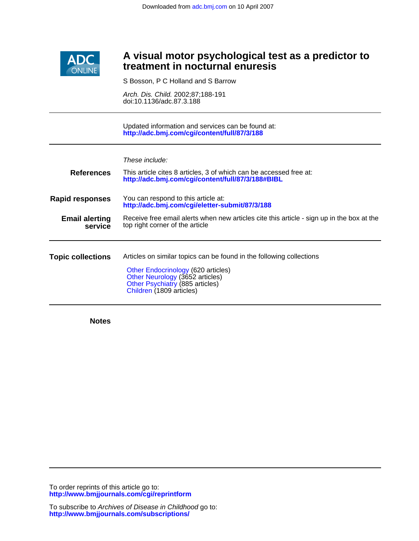

### **treatment in nocturnal enuresis A visual motor psychological test as a predictor to**

S Bosson, P C Holland and S Barrow

doi:10.1136/adc.87.3.188 Arch. Dis. Child. 2002;87;188-191

**<http://adc.bmj.com/cgi/content/full/87/3/188>** Updated information and services can be found at:

These include:

| <b>References</b>                | This article cites 8 articles, 3 of which can be accessed free at:<br>http://adc.bmj.com/cgi/content/full/87/3/188#BIBL                                                                                      |
|----------------------------------|--------------------------------------------------------------------------------------------------------------------------------------------------------------------------------------------------------------|
| <b>Rapid responses</b>           | You can respond to this article at:<br>http://adc.bmj.com/cgi/eletter-submit/87/3/188                                                                                                                        |
| <b>Email alerting</b><br>service | Receive free email alerts when new articles cite this article - sign up in the box at the<br>top right corner of the article                                                                                 |
| <b>Topic collections</b>         | Articles on similar topics can be found in the following collections<br>Other Endocrinology (620 articles)<br>Other Neurology (3652 articles)<br>Other Psychiatry (885 articles)<br>Children (1809 articles) |

**Notes**

**<http://www.bmjjournals.com/cgi/reprintform>** To order reprints of this article go to: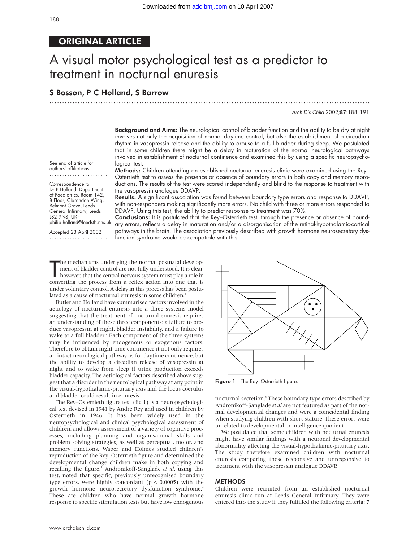.............................................................................................................................

#### ORIGINAL ARTICLE

## A visual motor psychological test as a predictor to treatment in nocturnal enuresis

#### S Bosson, P C Holland, S Barrow

Arch Dis Child 2002;87:188–191

Background and Aims: The neurological control of bladder function and the ability to be dry at night involves not only the acquisition of normal daytime control, but also the establishment of a circadian rhythm in vasopressin release and the ability to arouse to a full bladder during sleep. We postulated that in some children there might be a delay in maturation of the normal neurological pathways involved in establishment of nocturnal continence and examined this by using a specific neuropsychological test.

Methods: Children attending an established nocturnal enuresis clinic were examined using the Rey– Osterrieth test to assess the presence or absence of boundary errors in both copy and memory reproductions. The results of the test were scored independently and blind to the response to treatment with the vasopressin analogue DDAVP.

authors' affiliations ....................... Correspondence to:

See end of article for

Dr P Holland, Department of Paediatrics, Room 142, B Floor, Clarendon Wing, Belmont Grove, Leeds General Infirmary, Leeds LS2 9NS, UK; philip.holland@leedsth.nhs.uk

Accepted 23 April 2002 ....................... Results: A significant association was found between boundary type errors and response to DDAVP, with non-responders making significantly more errors. No child with three or more errors responded to DDAVP. Using this test, the ability to predict response to treatment was 70%.

Conclusions: It is postulated that the Rey–Osterrieth test, through the presence or absence of boundary errors, reflects a delay in maturation and/or a disorganisation of the retinal-hypothalamic-cortical pathways in the brain. The association previously described with growth hormone neurosecretory dysfunction syndrome would be compatible with this.

The mechanisms underlying the normal postnatal development of bladder control are not fully understood. It is clear, however, that the central nervous system must play a role in converting the process from a reflex action he mechanisms underlying the normal postnatal development of bladder control are not fully understood. It is clear, however, that the central nervous system must play a role in under voluntary control. A delay in this process has been postulated as a cause of nocturnal enuresis in some children.

Butler and Holland have summarised factors involved in the aetiology of nocturnal enuresis into a three systems model suggesting that the treatment of nocturnal enuresis requires an understanding of these three components: a failure to produce vasopressin at night, bladder instability, and a failure to wake to a full bladder.<sup>2</sup> Each component of the three systems may be influenced by endogenous or exogenous factors. Therefore to obtain night time continence it not only requires an intact neurological pathway as for daytime continence, but the ability to develop a circadian release of vasopressin at night and to wake from sleep if urine production exceeds bladder capacity. The aetiological factors described above suggest that a disorder in the neurological pathway at any point in the visual-hypothalamic-pituitary axis and the locus coerulus and bladder could result in enuresis.

The Rey–Osterrieth figure test (fig 1) is a neuropsychological test devised in 1941 by Andre Rey and used in children by Osterrieth in 1946. It has been widely used in the neuropsychological and clinical psychological assessment of children, and allows assessment of a variety of cognitive processes, including planning and organisational skills and problem solving strategies, as well as perceptual, motor, and memory functions. Waber and Holmes studied children's reproduction of the Rey–Osterrieth figure and determined the developmental change children make in both copying and recalling the figure.<sup>3</sup> Andronikoff-Sanglade et al, using this test, noted that specific, previously unrecognised boundary type errors, were highly concordant ( $p < 0.0005$ ) with the growth hormone neurosecretory dysfunction syndrome.<sup>4</sup> These are children who have normal growth hormone response to specific stimulation tests but have low endogenous



Figure 1 The Rey-Osterrieth figure.

nocturnal secretion.<sup>5</sup> These boundary type errors described by Andronikoff-Sanglade *et al* are not featured as part of the normal developmental changes and were a coincidental finding when studying children with short stature. These errors were unrelated to developmental or intelligence quotient.

We postulated that some children with nocturnal enuresis might have similar findings with a neuronal developmental abnormality affecting the visual-hypothalamic-pituitary axis. The study therefore examined children with nocturnal enuresis comparing those responsive and unresponsive to treatment with the vasopressin analogue DDAVP.

#### **METHODS**

Children were recruited from an established nocturnal enuresis clinic run at Leeds General Infirmary. They were entered into the study if they fulfilled the following criteria: 7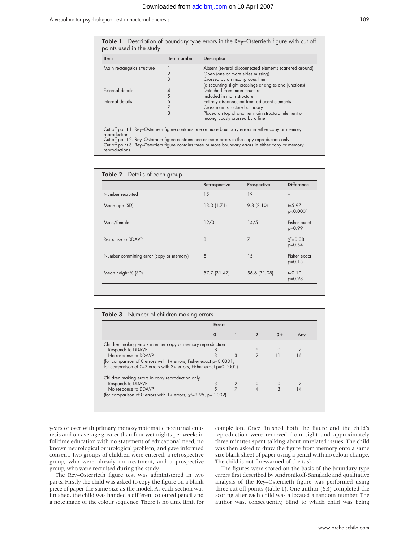

| Item                       | Item number | Description                                                                            |
|----------------------------|-------------|----------------------------------------------------------------------------------------|
| Main rectangular structure |             | Absent (several disconnected elements scattered around)                                |
|                            |             | Open (one or more sides missing)                                                       |
|                            | 3           | Crossed by an incongruous line                                                         |
|                            |             | (discounting slight crossings at angles and junctions)                                 |
| External details           |             | Detached from main structure                                                           |
|                            |             | Included in main structure                                                             |
| Internal details           |             | Entirely disconnected from adjacent elements                                           |
|                            |             | Cross main structure boundary                                                          |
|                            | 8           | Placed on top of another main structural element or<br>incongruously crossed by a line |

Cut off point 2. Rey–Osterrieth figure contains one or more errors in the copy reproduction only. Cut off point 3. Rey–Osterrieth figure contains three or more boundary errors in either copy or memory reproductions.

| <b>Table 2</b> Details of each group     |               |                |                             |
|------------------------------------------|---------------|----------------|-----------------------------|
|                                          | Retrospective | Prospective    | <b>Difference</b>           |
| Number recruited                         | 15            | 19             |                             |
| Mean age (SD)                            | 13.3(1.71)    | 9.3(2.10)      | $t = 5.97$<br>p<0.0001      |
| Male/female                              | 12/3          | 14/5           | Fisher exact<br>p=0.99      |
| Response to DDAVP                        | 8             | $\overline{7}$ | $\chi^2 = 0.38$<br>$p=0.54$ |
| Number committing error (copy or memory) | 8             | 15             | Fisher exact<br>$p=0.15$    |
| Mean height % (SD)                       | 57.7 (31.47)  | 56.6 (31.08)   | $E = 0.10$<br>p=0.98        |

|                                                                          | Errors |                                                                      |  |      |     |  |
|--------------------------------------------------------------------------|--------|----------------------------------------------------------------------|--|------|-----|--|
|                                                                          | O      |                                                                      |  | $3+$ | Any |  |
| Children making errors in either copy or memory reproduction             |        |                                                                      |  |      |     |  |
| Responds to DDAVP                                                        |        |                                                                      |  |      |     |  |
| No response to DDAVP                                                     | 3      | 3                                                                    |  |      |     |  |
| (for comparison of 0 errors with 1+ errors, Fisher exact p=0.0301;       |        |                                                                      |  |      |     |  |
| for comparison of $0-2$ errors with $3+$ errors, Fisher exact $p=0.0005$ |        |                                                                      |  |      |     |  |
| Children making errors in copy reproduction only                         |        |                                                                      |  |      |     |  |
| Responds to DDAVP                                                        | 13     | 2                                                                    |  |      |     |  |
| No response to DDAVP                                                     |        |                                                                      |  |      |     |  |
|                                                                          |        | (for comparison of 0 errors with 1+ errors, $\chi^2$ =9.95, p=0.002) |  |      |     |  |

years or over with primary monosymptomatic nocturnal enuresis and on average greater than four wet nights per week; in fulltime education with no statement of educational need; no known neurological or urological problem; and gave informed consent. Two groups of children were entered: a retrospective group, who were already on treatment, and a prospective group, who were recruited during the study.

The Rey–Osterrieth figure test was administered in two parts. Firstly the child was asked to copy the figure on a blank piece of paper the same size as the model. As each section was finished, the child was handed a different coloured pencil and a note made of the colour sequence. There is no time limit for

completion. Once finished both the figure and the child's reproduction were removed from sight and approximately three minutes spent talking about unrelated issues. The child was then asked to draw the figure from memory onto a same size blank sheet of paper using a pencil with no colour change. The child is not forewarned of the task.

The figures were scored on the basis of the boundary type errors first described by Andronikoff-Sanglade and qualitative analysis of the Rey–Osterrieth figure was performed using three cut off points (table 1). One author (SB) completed the scoring after each child was allocated a random number. The author was, consequently, blind to which child was being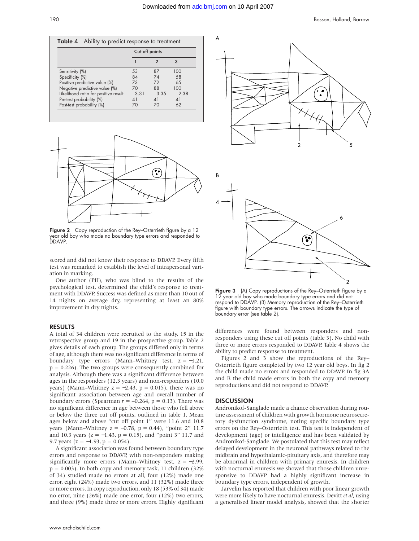|                                      | Cut off points |            |            |
|--------------------------------------|----------------|------------|------------|
|                                      |                | 2          | 3          |
| Sensitivity (%)                      | 53             | 87         | 100        |
| Specificity (%)                      | 84             | 74         | 58         |
| Positive predictive value (%)        | 73             | 72         | 65         |
| Negative predictive value (%)        | 70             | 88         | 100        |
| Likelihood ratio for positive result | 3.31           | 3.35       | 2.38       |
| Pre-test probability (%)             | 41             | $\Delta$ 1 | $\Delta$ 1 |
| Post-test probability (%)            | 70             | 70         | 62         |



Figure 2 Copy reproduction of the Rey–Osterrieth figure by a 12 year old boy who made no boundary type errors and responded to DDAVP.

scored and did not know their response to DDAVP. Every fifth test was remarked to establish the level of intrapersonal variation in marking.

One author (PH), who was blind to the results of the psychological test, determined the child's response to treatment with DDAVP. Success was defined as more than 10 out of 14 nights on average dry, representing at least an 80% improvement in dry nights.

#### RESULTS

A total of 34 children were recruited to the study, 15 in the retrospective group and 19 in the prospective group. Table 2 gives details of each group. The groups differed only in terms of age, although there was no significant difference in terms of boundary type errors (Mann–Whitney test, z = −1.21,  $p = 0.226$ ). The two groups were consequently combined for analysis. Although there was a significant difference between ages in the responders (12.3 years) and non-responders (10.0 years) (Mann–Whitney  $z = -2.43$ ,  $p = 0.015$ ), there was no significant association between age and overall number of boundary errors (Spearman  $r = -0.264$ ,  $p = 0.13$ ). There was no significant difference in age between those who fell above or below the three cut off points, outlined in table 1. Mean ages below and above "cut off point 1" were 11.6 and 10.8 years (Mann–Whitney  $z = −0.78$ ,  $p = 0.44$ ), "point 2" 11.7 and 10.3 years ( $z = -1.43$ ,  $p = 0.15$ ), and "point 3" 11.7 and 9.7 years ( $z = -1.93$ ,  $p = 0.054$ ).

A significant association was found between boundary type errors and response to DDAVP, with non-responders making significantly more errors (Mann–Whitney test,  $z = -2.99$ ,  $p = 0.003$ ). In both copy and memory task, 11 children (32%) of 34) studied made no errors at all, four (12%) made one error, eight (24%) made two errors, and 11 (32%) made three or more errors. In copy reproduction, only 18 (53% of 34) made no error, nine (26%) made one error, four (12%) two errors, and three (9%) made three or more errors. Highly significant



Figure 3 (A) Copy reproductions of the Rey-Osterrieth figure by a 12 year old boy who made boundary type errors and did not respond to DDAVP. (B) Memory reproduction of the Rey–Osterrieth figure with boundary type errors. The arrows indicate the type of boundary error (see table 2).

differences were found between responders and nonresponders using these cut off points (table 3). No child with three or more errors responded to DDAVP. Table 4 shows the ability to predict response to treatment.

Figures 2 and 3 show the reproductions of the Rey– Osterrieth figure completed by two 12 year old boys. In fig 2 the child made no errors and responded to DDAVP. In fig 3A and B the child made errors in both the copy and memory reproductions and did not respond to DDAVP.

#### **DISCUSSION**

Andronikof-Sanglade made a chance observation during routine assessment of children with growth hormone neurosecretory dysfunction syndrome, noting specific boundary type errors on the Rey–Osterrieth test. This test is independent of development (age) or intelligence and has been validated by Andronikof-Sanglade. We postulated that this test may reflect delayed development in the neuronal pathways related to the midbrain and hypothalamic-pituitary axis, and therefore may be abnormal in children with primary enuresis. In children with nocturnal enuresis we showed that those children unresponsive to DDAVP had a highly significant increase in boundary type errors, independent of growth.

Jarvelin has reported that children with poor linear growth were more likely to have nocturnal enuresis. Devitt *et al*, using a generalised linear model analysis, showed that the shorter